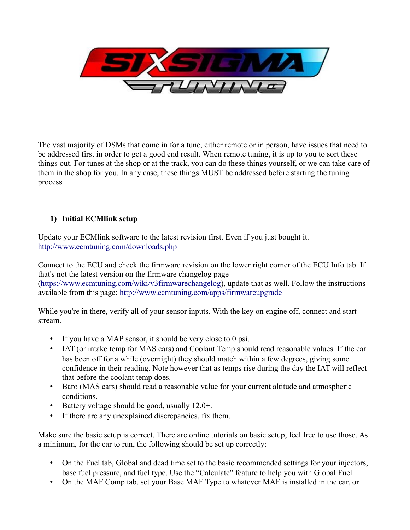

The vast majority of DSMs that come in for a tune, either remote or in person, have issues that need to be addressed first in order to get a good end result. When remote tuning, it is up to you to sort these things out. For tunes at the shop or at the track, you can do these things yourself, or we can take care of them in the shop for you. In any case, these things MUST be addressed before starting the tuning process.

# **1) Initial ECMlink setup**

Update your ECMlink software to the latest revision first. Even if you just bought it. <http://www.ecmtuning.com/downloads.php>

Connect to the ECU and check the firmware revision on the lower right corner of the ECU Info tab. If that's not the latest version on the firmware changelog page [\(https://www.ecmtuning.com/wiki/v3firmwarechangelog\)](https://www.ecmtuning.com/wiki/v3firmwarechangelog), update that as well. Follow the instructions available from this page:<http://www.ecmtuning.com/apps/firmwareupgrade>

While you're in there, verify all of your sensor inputs. With the key on engine off, connect and start stream.

- If you have a MAP sensor, it should be very close to 0 psi.
- IAT (or intake temp for MAS cars) and Coolant Temp should read reasonable values. If the car has been off for a while (overnight) they should match within a few degrees, giving some confidence in their reading. Note however that as temps rise during the day the IAT will reflect that before the coolant temp does.
- Baro (MAS cars) should read a reasonable value for your current altitude and atmospheric conditions.
- Battery voltage should be good, usually 12.0+.
- If there are any unexplained discrepancies, fix them.

Make sure the basic setup is correct. There are online tutorials on basic setup, feel free to use those. As a minimum, for the car to run, the following should be set up correctly:

- On the Fuel tab, Global and dead time set to the basic recommended settings for your injectors, base fuel pressure, and fuel type. Use the "Calculate" feature to help you with Global Fuel.
- On the MAF Comp tab, set your Base MAF Type to whatever MAF is installed in the car, or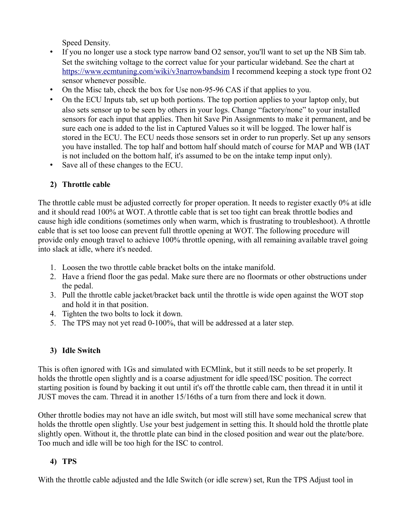Speed Density.

- If you no longer use a stock type narrow band O2 sensor, you'll want to set up the NB Sim tab. Set the switching voltage to the correct value for your particular wideband. See the chart at <https://www.ecmtuning.com/wiki/v3narrowbandsim>I recommend keeping a stock type front O2 sensor whenever possible.
- On the Misc tab, check the box for Use non-95-96 CAS if that applies to you.
- On the ECU Inputs tab, set up both portions. The top portion applies to your laptop only, but also sets sensor up to be seen by others in your logs. Change "factory/none" to your installed sensors for each input that applies. Then hit Save Pin Assignments to make it permanent, and be sure each one is added to the list in Captured Values so it will be logged. The lower half is stored in the ECU. The ECU needs those sensors set in order to run properly. Set up any sensors you have installed. The top half and bottom half should match of course for MAP and WB (IAT is not included on the bottom half, it's assumed to be on the intake temp input only).
- Save all of these changes to the ECU.

# **2) Throttle cable**

The throttle cable must be adjusted correctly for proper operation. It needs to register exactly 0% at idle and it should read 100% at WOT. A throttle cable that is set too tight can break throttle bodies and cause high idle conditions (sometimes only when warm, which is frustrating to troubleshoot). A throttle cable that is set too loose can prevent full throttle opening at WOT. The following procedure will provide only enough travel to achieve 100% throttle opening, with all remaining available travel going into slack at idle, where it's needed.

- 1. Loosen the two throttle cable bracket bolts on the intake manifold.
- 2. Have a friend floor the gas pedal. Make sure there are no floormats or other obstructions under the pedal.
- 3. Pull the throttle cable jacket/bracket back until the throttle is wide open against the WOT stop and hold it in that position.
- 4. Tighten the two bolts to lock it down.
- 5. The TPS may not yet read 0-100%, that will be addressed at a later step.

### **3) Idle Switch**

This is often ignored with 1Gs and simulated with ECMlink, but it still needs to be set properly. It holds the throttle open slightly and is a coarse adjustment for idle speed/ISC position. The correct starting position is found by backing it out until it's off the throttle cable cam, then thread it in until it JUST moves the cam. Thread it in another 15/16ths of a turn from there and lock it down.

Other throttle bodies may not have an idle switch, but most will still have some mechanical screw that holds the throttle open slightly. Use your best judgement in setting this. It should hold the throttle plate slightly open. Without it, the throttle plate can bind in the closed position and wear out the plate/bore. Too much and idle will be too high for the ISC to control.

# **4) TPS**

With the throttle cable adjusted and the Idle Switch (or idle screw) set, Run the TPS Adjust tool in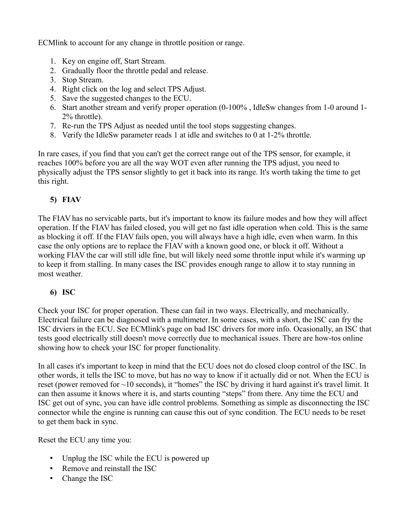ECMlink to account for any change in throttle position or range.

- 1. Key on engine off, Start Stream.
- 2. Gradually floor the throttle pedal and release.
- 3. Stop Stream.
- 4. Right click on the log and select TPS Adjust.
- 5. Save the suggested changes to the ECU.
- 6. Start another stream and verify proper operation (0-100% , IdleSw changes from 1-0 around 1- 2% throttle).
- 7. Re-run the TPS Adjust as needed until the tool stops suggesting changes.
- 8. Verify the IdleSw parameter reads 1 at idle and switches to 0 at 1-2% throttle.

In rare cases, if you find that you can't get the correct range out of the TPS sensor, for example, it reaches 100% before you are all the way WOT even after running the TPS adjust, you need to physically adjust the TPS sensor slightly to get it back into its range. It's worth taking the time to get this right.

# **5) FIAV**

The FIAV has no servicable parts, but it's important to know its failure modes and how they will affect operation. If the FIAV has failed closed, you will get no fast idle operation when cold. This is the same as blocking it off. If the FIAV fails open, you will always have a high idle, even when warm. In this case the only options are to replace the FIAV with a known good one, or block it off. Without a working FIAV the car will still idle fine, but will likely need some throttle input while it's warming up to keep it from stalling. In many cases the ISC provides enough range to allow it to stay running in most weather.

### **6) ISC**

Check your ISC for proper operation. These can fail in two ways. Electrically, and mechanically. Electrical failure can be diagnosed with a multimeter. In some cases, with a short, the ISC can fry the ISC drviers in the ECU. See ECMlink's page on bad ISC drivers for more info. Ocasionally, an ISC that tests good electrically still doesn't move correctly due to mechanical issues. There are how-tos online showing how to check your ISC for proper functionality.

In all cases it's important to keep in mind that the ECU does not do closed cloop control of the ISC. In other words, it tells the ISC to move, but has no way to know if it actually did or not. When the ECU is reset (power removed for ~10 seconds), it "homes" the ISC by driving it hard against it's travel limit. It can then assume it knows where it is, and starts counting "steps" from there. Any time the ECU and ISC get out of sync, you can have idle control problems. Something as simple as disconnecting the ISC connector while the engine is running can cause this out of sync condition. The ECU needs to be reset to get them back in sync.

Reset the ECU any time you:

- Unplug the ISC while the ECU is powered up
- Remove and reinstall the ISC
- Change the ISC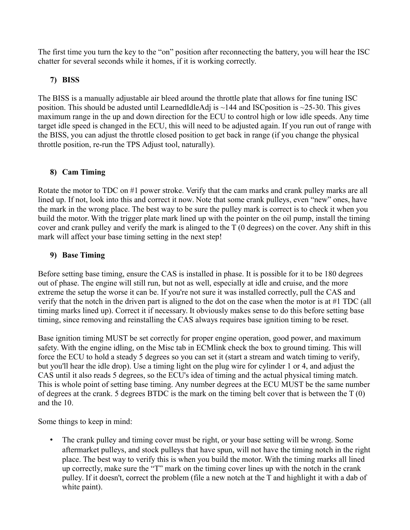The first time you turn the key to the "on" position after reconnecting the battery, you will hear the ISC chatter for several seconds while it homes, if it is working correctly.

### **7) BISS**

The BISS is a manually adjustable air bleed around the throttle plate that allows for fine tuning ISC position. This should be adusted until LearnedIdleAdj is  $\sim$ 144 and ISC position is  $\sim$ 25-30. This gives maximum range in the up and down direction for the ECU to control high or low idle speeds. Any time target idle speed is changed in the ECU, this will need to be adjusted again. If you run out of range with the BISS, you can adjust the throttle closed position to get back in range (if you change the physical throttle position, re-run the TPS Adjust tool, naturally).

# **8) Cam Timing**

Rotate the motor to TDC on #1 power stroke. Verify that the cam marks and crank pulley marks are all lined up. If not, look into this and correct it now. Note that some crank pulleys, even "new" ones, have the mark in the wrong place. The best way to be sure the pulley mark is correct is to check it when you build the motor. With the trigger plate mark lined up with the pointer on the oil pump, install the timing cover and crank pulley and verify the mark is alinged to the T (0 degrees) on the cover. Any shift in this mark will affect your base timing setting in the next step!

# **9) Base Timing**

Before setting base timing, ensure the CAS is installed in phase. It is possible for it to be 180 degrees out of phase. The engine will still run, but not as well, especially at idle and cruise, and the more extreme the setup the worse it can be. If you're not sure it was installed correctly, pull the CAS and verify that the notch in the driven part is aligned to the dot on the case when the motor is at #1 TDC (all timing marks lined up). Correct it if necessary. It obviously makes sense to do this before setting base timing, since removing and reinstalling the CAS always requires base ignition timing to be reset.

Base ignition timing MUST be set correctly for proper engine operation, good power, and maximum safety. With the engine idling, on the Misc tab in ECMlink check the box to ground timing. This will force the ECU to hold a steady 5 degrees so you can set it (start a stream and watch timing to verify, but you'll hear the idle drop). Use a timing light on the plug wire for cylinder 1 or 4, and adjust the CAS until it also reads 5 degrees, so the ECU's idea of timing and the actual physical timing match. This is whole point of setting base timing. Any number degrees at the ECU MUST be the same number of degrees at the crank. 5 degrees BTDC is the mark on the timing belt cover that is between the T (0) and the 10.

Some things to keep in mind:

• The crank pulley and timing cover must be right, or your base setting will be wrong. Some aftermarket pulleys, and stock pulleys that have spun, will not have the timing notch in the right place. The best way to verify this is when you build the motor. With the timing marks all lined up correctly, make sure the "T" mark on the timing cover lines up with the notch in the crank pulley. If it doesn't, correct the problem (file a new notch at the T and highlight it with a dab of white paint).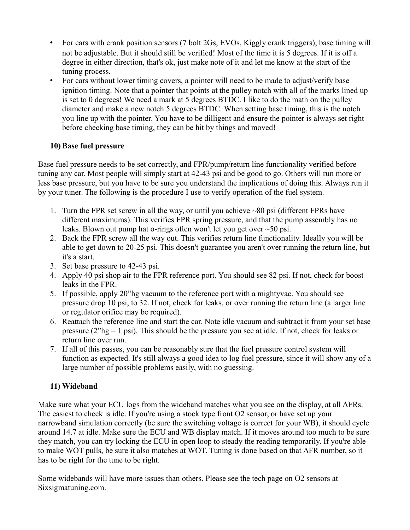- For cars with crank position sensors (7 bolt 2Gs, EVOs, Kiggly crank triggers), base timing will not be adjustable. But it should still be verified! Most of the time it is 5 degrees. If it is off a degree in either direction, that's ok, just make note of it and let me know at the start of the tuning process.
- For cars without lower timing covers, a pointer will need to be made to adjust/verify base ignition timing. Note that a pointer that points at the pulley notch with all of the marks lined up is set to 0 degrees! We need a mark at 5 degrees BTDC. I like to do the math on the pulley diameter and make a new notch 5 degrees BTDC. When setting base timing, this is the notch you line up with the pointer. You have to be dilligent and ensure the pointer is always set right before checking base timing, they can be hit by things and moved!

### **10) Base fuel pressure**

Base fuel pressure needs to be set correctly, and FPR/pump/return line functionality verified before tuning any car. Most people will simply start at 42-43 psi and be good to go. Others will run more or less base pressure, but you have to be sure you understand the implications of doing this. Always run it by your tuner. The following is the procedure I use to verify operation of the fuel system.

- 1. Turn the FPR set screw in all the way, or until you achieve ~80 psi (different FPRs have different maximums). This verifies FPR spring pressure, and that the pump assembly has no leaks. Blown out pump hat o-rings often won't let you get over ~50 psi.
- 2. Back the FPR screw all the way out. This verifies return line functionality. Ideally you will be able to get down to 20-25 psi. This doesn't guarantee you aren't over running the return line, but it's a start.
- 3. Set base pressure to 42-43 psi.
- 4. Apply 40 psi shop air to the FPR reference port. You should see 82 psi. If not, check for boost leaks in the FPR.
- 5. If possible, apply 20"hg vacuum to the reference port with a mightyvac. You should see pressure drop 10 psi, to 32. If not, check for leaks, or over running the return line (a larger line or regulator orifice may be required).
- 6. Reattach the reference line and start the car. Note idle vacuum and subtract it from your set base pressure (2"hg = 1 psi). This should be the pressure you see at idle. If not, check for leaks or return line over run.
- 7. If all of this passes, you can be reasonably sure that the fuel pressure control system will function as expected. It's still always a good idea to log fuel pressure, since it will show any of a large number of possible problems easily, with no guessing.

# **11) Wideband**

Make sure what your ECU logs from the wideband matches what you see on the display, at all AFRs. The easiest to check is idle. If you're using a stock type front O2 sensor, or have set up your narrowband simulation correctly (be sure the switching voltage is correct for your WB), it should cycle around 14.7 at idle. Make sure the ECU and WB display match. If it moves around too much to be sure they match, you can try locking the ECU in open loop to steady the reading temporarily. If you're able to make WOT pulls, be sure it also matches at WOT. Tuning is done based on that AFR number, so it has to be right for the tune to be right.

Some widebands will have more issues than others. Please see the tech page on O2 sensors at Sixsigmatuning.com.